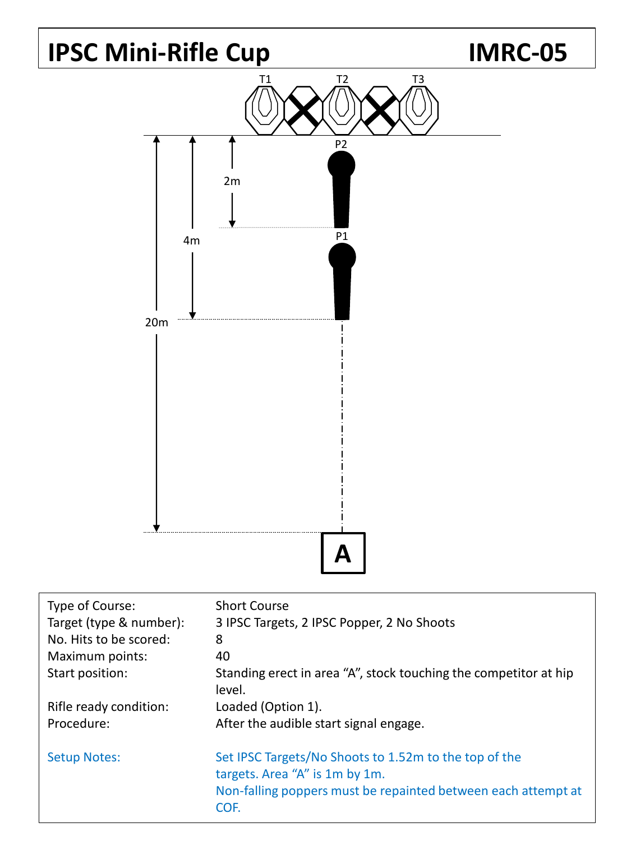# 2m **A** 4m P1 P2  $\frac{11}{2}$  T2 T3 **IPSC Mini-Rifle Cup IMRC-05** 20m

| Type of Course:         | <b>Short Course</b>                                                                     |
|-------------------------|-----------------------------------------------------------------------------------------|
| Target (type & number): | 3 IPSC Targets, 2 IPSC Popper, 2 No Shoots                                              |
| No. Hits to be scored:  | 8                                                                                       |
| Maximum points:         | 40                                                                                      |
| Start position:         | Standing erect in area "A", stock touching the competitor at hip<br>level.              |
| Rifle ready condition:  | Loaded (Option 1).                                                                      |
| Procedure:              | After the audible start signal engage.                                                  |
| <b>Setup Notes:</b>     | Set IPSC Targets/No Shoots to 1.52m to the top of the<br>targets. Area "A" is 1m by 1m. |
|                         | Non-falling poppers must be repainted between each attempt at<br>COF.                   |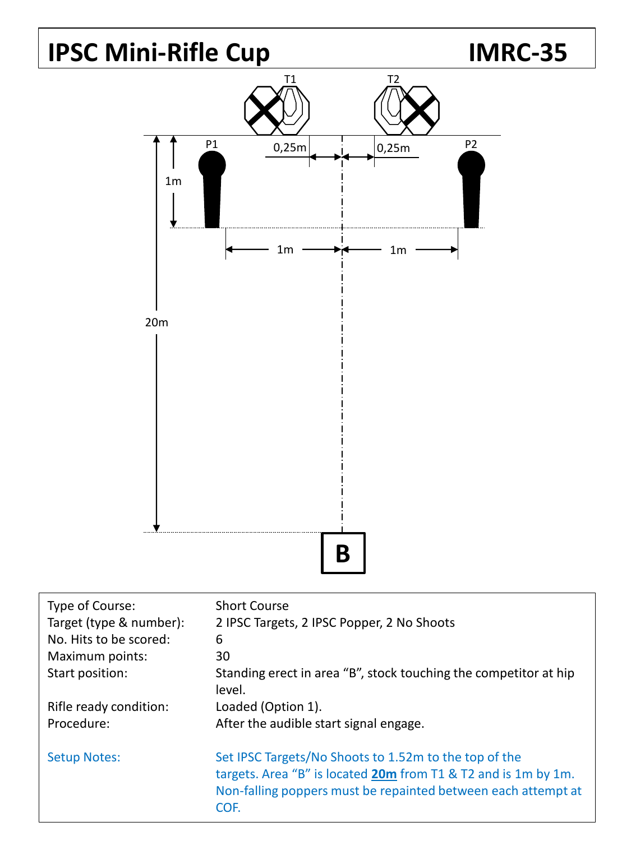## **IPSC Mini-Rifle Cup IMRC-35**



| Type of Course:<br>Target (type & number):<br>No. Hits to be scored:<br>Maximum points:<br>Start position: | <b>Short Course</b><br>2 IPSC Targets, 2 IPSC Popper, 2 No Shoots<br>6<br>30<br>Standing erect in area "B", stock touching the competitor at hip                                                        |
|------------------------------------------------------------------------------------------------------------|---------------------------------------------------------------------------------------------------------------------------------------------------------------------------------------------------------|
|                                                                                                            | level.                                                                                                                                                                                                  |
| Rifle ready condition:                                                                                     | Loaded (Option 1).                                                                                                                                                                                      |
| Procedure:                                                                                                 | After the audible start signal engage.                                                                                                                                                                  |
| <b>Setup Notes:</b>                                                                                        | Set IPSC Targets/No Shoots to 1.52m to the top of the<br>targets. Area "B" is located <b>20m</b> from T1 & T2 and is 1m by 1m.<br>Non-falling poppers must be repainted between each attempt at<br>COF. |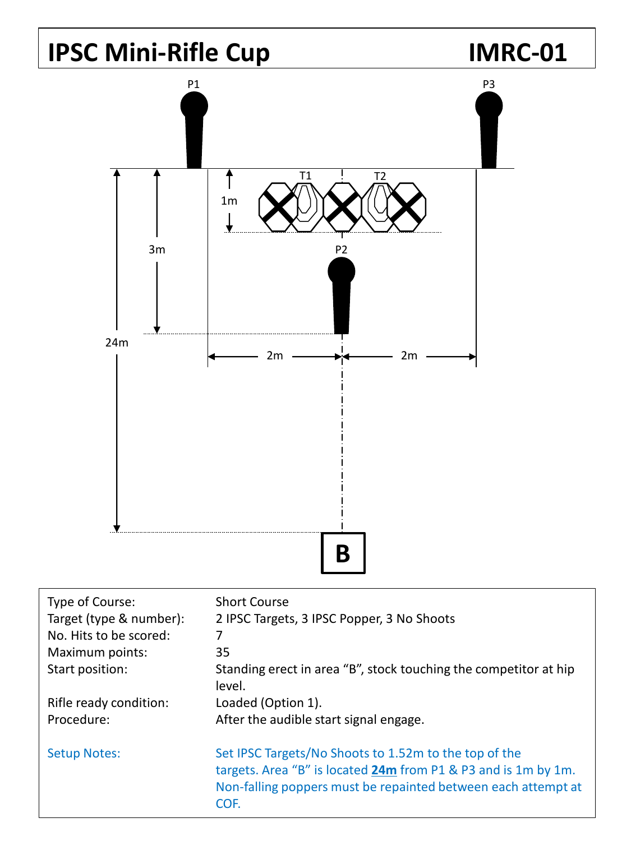# **IPSC Mini-Rifle Cup IMRC-01**



| Type of Course:         | <b>Short Course</b>                                                                                                                                                                              |
|-------------------------|--------------------------------------------------------------------------------------------------------------------------------------------------------------------------------------------------|
| Target (type & number): | 2 IPSC Targets, 3 IPSC Popper, 3 No Shoots                                                                                                                                                       |
| No. Hits to be scored:  | 7                                                                                                                                                                                                |
| Maximum points:         | 35                                                                                                                                                                                               |
| Start position:         | Standing erect in area "B", stock touching the competitor at hip<br>level.                                                                                                                       |
| Rifle ready condition:  | Loaded (Option 1).                                                                                                                                                                               |
| Procedure:              | After the audible start signal engage.                                                                                                                                                           |
| <b>Setup Notes:</b>     | Set IPSC Targets/No Shoots to 1.52m to the top of the<br>targets. Area "B" is located 24m from P1 & P3 and is 1m by 1m.<br>Non-falling poppers must be repainted between each attempt at<br>COF. |